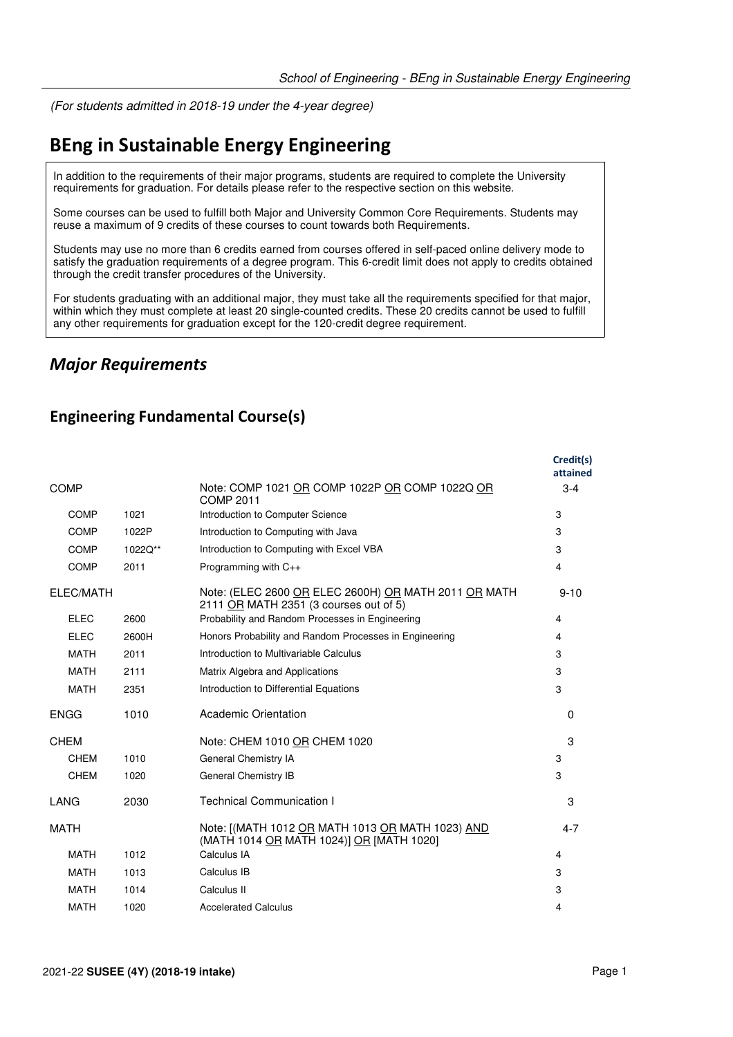(For students admitted in 2018-19 under the 4-year degree)

# **BEng in Sustainable Energy Engineering**

In addition to the requirements of their major programs, students are required to complete the University requirements for graduation. For details please refer to the respective section on this website.

Some courses can be used to fulfill both Major and University Common Core Requirements. Students may reuse a maximum of 9 credits of these courses to count towards both Requirements.

Students may use no more than 6 credits earned from courses offered in self-paced online delivery mode to satisfy the graduation requirements of a degree program. This 6-credit limit does not apply to credits obtained through the credit transfer procedures of the University.

For students graduating with an additional major, they must take all the requirements specified for that major, within which they must complete at least 20 single-counted credits. These 20 credits cannot be used to fulfill any other requirements for graduation except for the 120-credit degree requirement.

#### *Major Requirements*

#### **Engineering Fundamental Course(s)**

|             |         |                                                                                                | Credit(s)<br>attained |
|-------------|---------|------------------------------------------------------------------------------------------------|-----------------------|
| <b>COMP</b> |         | Note: COMP 1021 OR COMP 1022P OR COMP 1022Q OR<br><b>COMP 2011</b>                             | $3 - 4$               |
| <b>COMP</b> | 1021    | Introduction to Computer Science                                                               | 3                     |
| <b>COMP</b> | 1022P   | Introduction to Computing with Java                                                            | 3                     |
| COMP        | 1022Q** | Introduction to Computing with Excel VBA                                                       | 3                     |
| <b>COMP</b> | 2011    | Programming with C++                                                                           | 4                     |
| ELEC/MATH   |         | Note: (ELEC 2600 OR ELEC 2600H) OR MATH 2011 OR MATH<br>2111 OR MATH 2351 (3 courses out of 5) | $9 - 10$              |
| <b>ELEC</b> | 2600    | Probability and Random Processes in Engineering                                                | 4                     |
| <b>ELEC</b> | 2600H   | Honors Probability and Random Processes in Engineering                                         | 4                     |
| <b>MATH</b> | 2011    | Introduction to Multivariable Calculus                                                         | 3                     |
| <b>MATH</b> | 2111    | Matrix Algebra and Applications                                                                | 3                     |
| <b>MATH</b> | 2351    | Introduction to Differential Equations                                                         | 3                     |
| <b>ENGG</b> | 1010    | Academic Orientation                                                                           | 0                     |
| <b>CHEM</b> |         | Note: CHEM 1010 OR CHEM 1020                                                                   | 3                     |
| CHEM        | 1010    | General Chemistry IA                                                                           | 3                     |
| <b>CHEM</b> | 1020    | <b>General Chemistry IB</b>                                                                    | 3                     |
| LANG        | 2030    | <b>Technical Communication I</b>                                                               | 3                     |
| <b>MATH</b> |         | Note: [(MATH 1012 OR MATH 1013 OR MATH 1023) AND<br>(MATH 1014 OR MATH 1024)] OR [MATH 1020]   | $4 - 7$               |
| <b>MATH</b> | 1012    | Calculus IA                                                                                    | 4                     |
| <b>MATH</b> | 1013    | Calculus IB                                                                                    | 3                     |
| <b>MATH</b> | 1014    | Calculus II                                                                                    | 3                     |
| <b>MATH</b> | 1020    | <b>Accelerated Calculus</b>                                                                    | 4                     |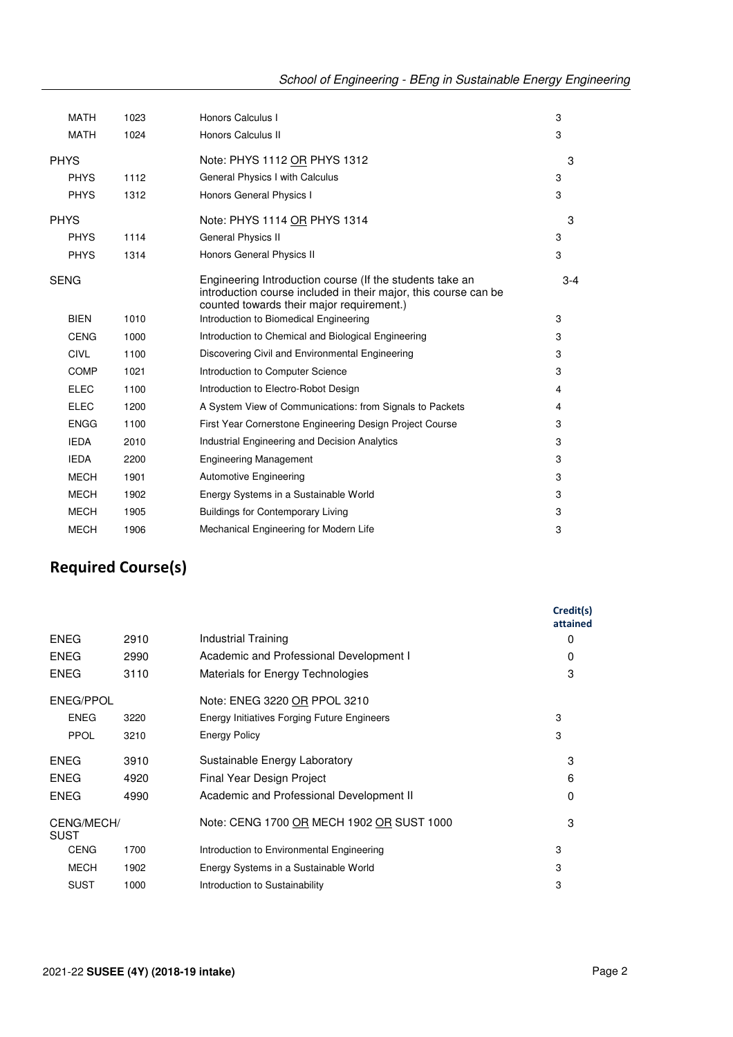| <b>MATH</b> | 1023 | Honors Calculus I                                                                                                                                                        | 3       |
|-------------|------|--------------------------------------------------------------------------------------------------------------------------------------------------------------------------|---------|
| <b>MATH</b> | 1024 | Honors Calculus II                                                                                                                                                       | 3       |
| <b>PHYS</b> |      | Note: PHYS 1112 OR PHYS 1312                                                                                                                                             | 3       |
| <b>PHYS</b> | 1112 | General Physics I with Calculus                                                                                                                                          | 3       |
| <b>PHYS</b> | 1312 | Honors General Physics I                                                                                                                                                 | 3       |
| <b>PHYS</b> |      | Note: PHYS 1114 OR PHYS 1314                                                                                                                                             | 3       |
| <b>PHYS</b> | 1114 | General Physics II                                                                                                                                                       | 3       |
| <b>PHYS</b> | 1314 | Honors General Physics II                                                                                                                                                | 3       |
| <b>SENG</b> |      | Engineering Introduction course (If the students take an<br>introduction course included in their major, this course can be<br>counted towards their major requirement.) | $3 - 4$ |
| <b>BIEN</b> | 1010 | Introduction to Biomedical Engineering                                                                                                                                   | 3       |
| <b>CENG</b> | 1000 | Introduction to Chemical and Biological Engineering                                                                                                                      | 3       |
| <b>CIVL</b> | 1100 | Discovering Civil and Environmental Engineering                                                                                                                          | 3       |
| <b>COMP</b> | 1021 | Introduction to Computer Science                                                                                                                                         | 3       |
| <b>ELEC</b> | 1100 | Introduction to Electro-Robot Design                                                                                                                                     | 4       |
| <b>ELEC</b> | 1200 | A System View of Communications: from Signals to Packets                                                                                                                 | 4       |
| <b>ENGG</b> | 1100 | First Year Cornerstone Engineering Design Project Course                                                                                                                 | 3       |
| <b>IEDA</b> | 2010 | <b>Industrial Engineering and Decision Analytics</b>                                                                                                                     | 3       |
| <b>IEDA</b> | 2200 | <b>Engineering Management</b>                                                                                                                                            | 3       |
| <b>MECH</b> | 1901 | <b>Automotive Engineering</b>                                                                                                                                            | 3       |
| <b>MECH</b> | 1902 | Energy Systems in a Sustainable World                                                                                                                                    | 3       |
| <b>MECH</b> | 1905 | <b>Buildings for Contemporary Living</b>                                                                                                                                 | 3       |
| <b>MECH</b> | 1906 | Mechanical Engineering for Modern Life                                                                                                                                   | 3       |
|             |      |                                                                                                                                                                          |         |

## **Required Course(s)**

|            |                                             | Credit(s)<br>attained |
|------------|---------------------------------------------|-----------------------|
| 2910       | Industrial Training                         | $\Omega$              |
| 2990       | Academic and Professional Development I     | $\Omega$              |
| 3110       | Materials for Energy Technologies           | 3                     |
|            | Note: ENEG 3220 OR PPOL 3210                |                       |
| 3220       | Energy Initiatives Forging Future Engineers | 3                     |
| 3210       | <b>Energy Policy</b>                        | 3                     |
| 3910       | Sustainable Energy Laboratory               | 3                     |
| 4920       | Final Year Design Project                   | 6                     |
| 4990       | Academic and Professional Development II    | $\Omega$              |
| CENG/MECH/ | Note: CENG 1700 OR MECH 1902 OR SUST 1000   | 3                     |
| 1700       | Introduction to Environmental Engineering   | 3                     |
| 1902       | Energy Systems in a Sustainable World       | 3                     |
| 1000       | Introduction to Sustainability              | 3                     |
|            |                                             |                       |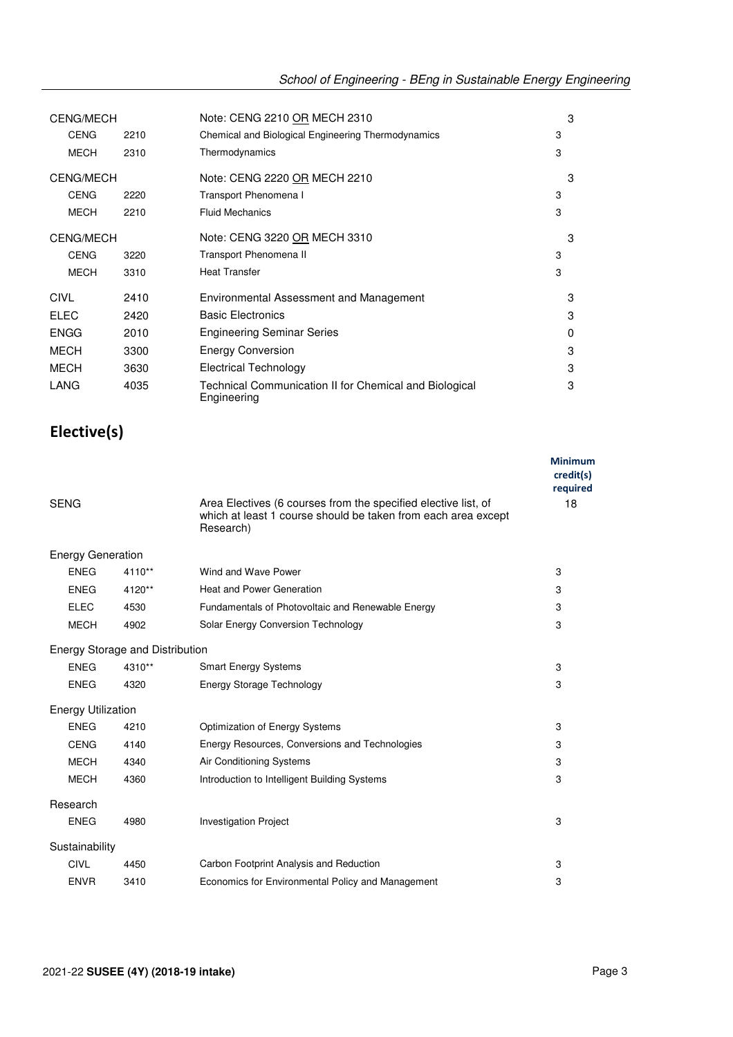| <b>CENG/MECH</b><br><b>CENG</b><br>2210 |      | Note: CENG 2210 OR MECH 2310<br>Chemical and Biological Engineering Thermodynamics | 3<br>3 |
|-----------------------------------------|------|------------------------------------------------------------------------------------|--------|
| <b>MECH</b>                             | 2310 | Thermodynamics                                                                     | 3      |
| <b>CENG/MECH</b>                        |      | Note: CENG 2220 OR MECH 2210                                                       | 3      |
| <b>CENG</b>                             | 2220 | Transport Phenomena I                                                              | 3      |
| <b>MECH</b>                             | 2210 | <b>Fluid Mechanics</b>                                                             | 3      |
| <b>CENG/MECH</b>                        |      | Note: CENG 3220 OR MECH 3310                                                       | 3      |
| CENG                                    | 3220 | Transport Phenomena II                                                             | 3      |
| <b>MECH</b>                             | 3310 | <b>Heat Transfer</b>                                                               | 3      |
| CIVL                                    | 2410 | Environmental Assessment and Management                                            | 3      |
| <b>ELEC</b>                             | 2420 | <b>Basic Electronics</b>                                                           | 3      |
| <b>ENGG</b>                             | 2010 | <b>Engineering Seminar Series</b>                                                  | 0      |
| <b>MECH</b>                             | 3300 | <b>Energy Conversion</b>                                                           | 3      |
| <b>MECH</b>                             | 3630 | Electrical Technology                                                              | 3      |
| LANG                                    | 4035 | Technical Communication II for Chemical and Biological<br>Engineering              | 3      |

### **Elective(s)**

|                           |                                 |                                                                                                                                              | <b>Minimum</b><br>credit(s)<br>required |
|---------------------------|---------------------------------|----------------------------------------------------------------------------------------------------------------------------------------------|-----------------------------------------|
| <b>SENG</b>               |                                 | Area Electives (6 courses from the specified elective list, of<br>which at least 1 course should be taken from each area except<br>Research) | 18                                      |
| <b>Energy Generation</b>  |                                 |                                                                                                                                              |                                         |
| <b>ENEG</b>               | 4110**                          | Wind and Wave Power                                                                                                                          | 3                                       |
| <b>ENEG</b>               | 4120**                          | <b>Heat and Power Generation</b>                                                                                                             | 3                                       |
| <b>ELEC</b>               | 4530                            | Fundamentals of Photovoltaic and Renewable Energy                                                                                            | 3                                       |
| <b>MECH</b>               | 4902                            | Solar Energy Conversion Technology                                                                                                           | 3                                       |
|                           | Energy Storage and Distribution |                                                                                                                                              |                                         |
| <b>ENEG</b>               | 4310**                          | <b>Smart Energy Systems</b>                                                                                                                  | 3                                       |
| <b>ENEG</b>               | 4320                            | <b>Energy Storage Technology</b>                                                                                                             | 3                                       |
| <b>Energy Utilization</b> |                                 |                                                                                                                                              |                                         |
| <b>ENEG</b>               | 4210                            | Optimization of Energy Systems                                                                                                               | 3                                       |
| <b>CENG</b>               | 4140                            | Energy Resources, Conversions and Technologies                                                                                               | 3                                       |
| <b>MECH</b>               | 4340                            | <b>Air Conditioning Systems</b>                                                                                                              | 3                                       |
| <b>MECH</b>               | 4360                            | Introduction to Intelligent Building Systems                                                                                                 | 3                                       |
| Research                  |                                 |                                                                                                                                              |                                         |
| <b>ENEG</b>               | 4980                            | <b>Investigation Project</b>                                                                                                                 | 3                                       |
| Sustainability            |                                 |                                                                                                                                              |                                         |
| <b>CIVL</b>               | 4450                            | Carbon Footprint Analysis and Reduction                                                                                                      | 3                                       |
| <b>ENVR</b>               | 3410                            | Economics for Environmental Policy and Management                                                                                            | 3                                       |